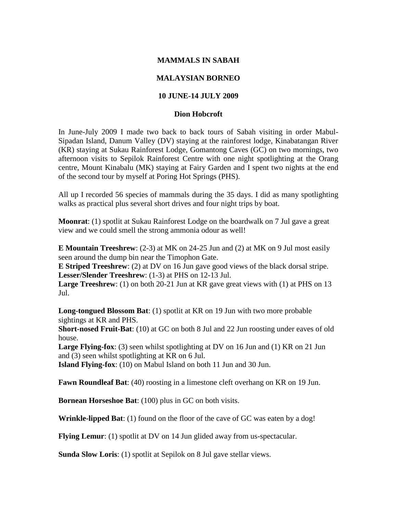## **MAMMALS IN SABAH**

## **MALAYSIAN BORNEO**

## **10 JUNE-14 JULY 2009**

## **Dion Hobcroft**

In June-July 2009 I made two back to back tours of Sabah visiting in order Mabul-Sipadan Island, Danum Valley (DV) staying at the rainforest lodge, Kinabatangan River (KR) staying at Sukau Rainforest Lodge, Gomantong Caves (GC) on two mornings, two afternoon visits to Sepilok Rainforest Centre with one night spotlighting at the Orang centre, Mount Kinabalu (MK) staying at Fairy Garden and I spent two nights at the end of the second tour by myself at Poring Hot Springs (PHS).

All up I recorded 56 species of mammals during the 35 days. I did as many spotlighting walks as practical plus several short drives and four night trips by boat.

**Moonrat**: (1) spotlit at Sukau Rainforest Lodge on the boardwalk on 7 Jul gave a great view and we could smell the strong ammonia odour as well!

**E Mountain Treeshrew**: (2-3) at MK on 24-25 Jun and (2) at MK on 9 Jul most easily seen around the dump bin near the Timophon Gate.

**E Striped Treeshrew**: (2) at DV on 16 Jun gave good views of the black dorsal stripe. **Lesser/Slender Treeshrew**: (1-3) at PHS on 12-13 Jul.

**Large Treeshrew**: (1) on both 20-21 Jun at KR gave great views with (1) at PHS on 13 Jul.

**Long-tongued Blossom Bat**: (1) spotlit at KR on 19 Jun with two more probable sightings at KR and PHS.

**Short-nosed Fruit-Bat**: (10) at GC on both 8 Jul and 22 Jun roosting under eaves of old house.

**Large Flying-fox**: (3) seen whilst spotlighting at DV on 16 Jun and (1) KR on 21 Jun and (3) seen whilst spotlighting at KR on 6 Jul.

**Island Flying-fox**: (10) on Mabul Island on both 11 Jun and 30 Jun.

**Fawn Roundleaf Bat**: (40) roosting in a limestone cleft overhang on KR on 19 Jun.

**Bornean Horseshoe Bat**: (100) plus in GC on both visits.

**Wrinkle-lipped Bat**: (1) found on the floor of the cave of GC was eaten by a dog!

**Flying Lemur**: (1) spotlit at DV on 14 Jun glided away from us-spectacular.

**Sunda Slow Loris**: (1) spotlit at Sepilok on 8 Jul gave stellar views.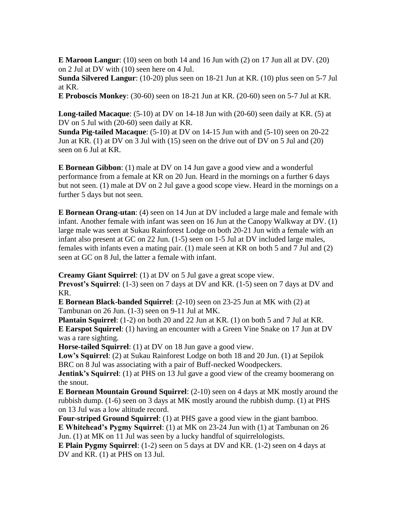**E Maroon Langur**: (10) seen on both 14 and 16 Jun with (2) on 17 Jun all at DV. (20) on 2 Jul at DV with (10) seen here on 4 Jul.

**Sunda Silvered Langur**: (10-20) plus seen on 18-21 Jun at KR. (10) plus seen on 5-7 Jul at KR.

**E Proboscis Monkey**: (30-60) seen on 18-21 Jun at KR. (20-60) seen on 5-7 Jul at KR.

**Long-tailed Macaque**: (5-10) at DV on 14-18 Jun with (20-60) seen daily at KR. (5) at DV on 5 Jul with (20-60) seen daily at KR.

**Sunda Pig-tailed Macaque**: (5-10) at DV on 14-15 Jun with and (5-10) seen on 20-22 Jun at KR. (1) at DV on 3 Jul with (15) seen on the drive out of DV on 5 Jul and (20) seen on 6 Jul at KR.

**E Bornean Gibbon**: (1) male at DV on 14 Jun gave a good view and a wonderful performance from a female at KR on 20 Jun. Heard in the mornings on a further 6 days but not seen. (1) male at DV on 2 Jul gave a good scope view. Heard in the mornings on a further 5 days but not seen.

**E Bornean Orang-utan**: (4) seen on 14 Jun at DV included a large male and female with infant. Another female with infant was seen on 16 Jun at the Canopy Walkway at DV. (1) large male was seen at Sukau Rainforest Lodge on both 20-21 Jun with a female with an infant also present at GC on 22 Jun. (1-5) seen on 1-5 Jul at DV included large males, females with infants even a mating pair. (1) male seen at KR on both 5 and 7 Jul and (2) seen at GC on 8 Jul, the latter a female with infant.

**Creamy Giant Squirrel**: (1) at DV on 5 Jul gave a great scope view. **Prevost's Squirrel:** (1-3) seen on 7 days at DV and KR. (1-5) seen on 7 days at DV and

KR.

**E Bornean Black-banded Squirrel**: (2-10) seen on 23-25 Jun at MK with (2) at Tambunan on 26 Jun. (1-3) seen on 9-11 Jul at MK.

**Plantain Squirrel**: (1-2) on both 20 and 22 Jun at KR. (1) on both 5 and 7 Jul at KR. **E Earspot Squirrel**: (1) having an encounter with a Green Vine Snake on 17 Jun at DV was a rare sighting.

**Horse-tailed Squirrel**: (1) at DV on 18 Jun gave a good view.

**Low's Squirrel**: (2) at Sukau Rainforest Lodge on both 18 and 20 Jun. (1) at Sepilok BRC on 8 Jul was associating with a pair of Buff-necked Woodpeckers.

**Jentink's Squirrel:** (1) at PHS on 13 Jul gave a good view of the creamy boomerang on the snout.

**E Bornean Mountain Ground Squirrel**: (2-10) seen on 4 days at MK mostly around the rubbish dump. (1-6) seen on 3 days at MK mostly around the rubbish dump. (1) at PHS on 13 Jul was a low altitude record.

**Four-striped Ground Squirrel**: (1) at PHS gave a good view in the giant bamboo. **E Whitehead's Pygmy Squirrel**: (1) at MK on 23-24 Jun with (1) at Tambunan on 26 Jun. (1) at MK on 11 Jul was seen by a lucky handful of squirrelologists.

**E Plain Pygmy Squirrel**: (1-2) seen on 5 days at DV and KR. (1-2) seen on 4 days at DV and KR. (1) at PHS on 13 Jul.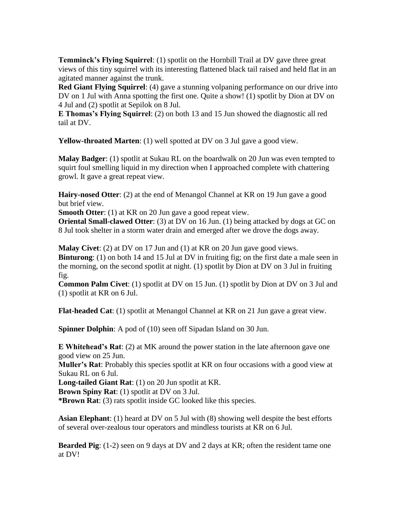**Temminck's Flying Squirrel**: (1) spotlit on the Hornbill Trail at DV gave three great views of this tiny squirrel with its interesting flattened black tail raised and held flat in an agitated manner against the trunk.

**Red Giant Flying Squirrel:** (4) gave a stunning volpaning performance on our drive into DV on 1 Jul with Anna spotting the first one. Quite a show! (1) spotlit by Dion at DV on 4 Jul and (2) spotlit at Sepilok on 8 Jul.

**E Thomas's Flying Squirrel**: (2) on both 13 and 15 Jun showed the diagnostic all red tail at DV.

**Yellow-throated Marten**: (1) well spotted at DV on 3 Jul gave a good view.

**Malay Badger**: (1) spotlit at Sukau RL on the boardwalk on 20 Jun was even tempted to squirt foul smelling liquid in my direction when I approached complete with chattering growl. It gave a great repeat view.

**Hairy-nosed Otter**: (2) at the end of Menangol Channel at KR on 19 Jun gave a good but brief view.

**Smooth Otter**: (1) at KR on 20 Jun gave a good repeat view.

**Oriental Small-clawed Otter**: (3) at DV on 16 Jun. (1) being attacked by dogs at GC on 8 Jul took shelter in a storm water drain and emerged after we drove the dogs away.

**Malay Civet**: (2) at DV on 17 Jun and (1) at KR on 20 Jun gave good views.

**Binturong**: (1) on both 14 and 15 Jul at DV in fruiting fig; on the first date a male seen in the morning, on the second spotlit at night. (1) spotlit by Dion at DV on 3 Jul in fruiting fig.

**Common Palm Civet**: (1) spotlit at DV on 15 Jun. (1) spotlit by Dion at DV on 3 Jul and (1) spotlit at KR on 6 Jul.

**Flat-headed Cat**: (1) spotlit at Menangol Channel at KR on 21 Jun gave a great view.

**Spinner Dolphin**: A pod of (10) seen off Sipadan Island on 30 Jun.

**E Whitehead's Rat**: (2) at MK around the power station in the late afternoon gave one good view on 25 Jun.

**Muller's Rat**: Probably this species spotlit at KR on four occasions with a good view at Sukau RL on 6 Jul.

**Long-tailed Giant Rat**: (1) on 20 Jun spotlit at KR.

**Brown Spiny Rat**: (1) spotlit at DV on 3 Jul.

**\*Brown Rat**: (3) rats spotlit inside GC looked like this species.

**Asian Elephant**: (1) heard at DV on 5 Jul with (8) showing well despite the best efforts of several over-zealous tour operators and mindless tourists at KR on 6 Jul.

**Bearded Pig**: (1-2) seen on 9 days at DV and 2 days at KR; often the resident tame one at DV!